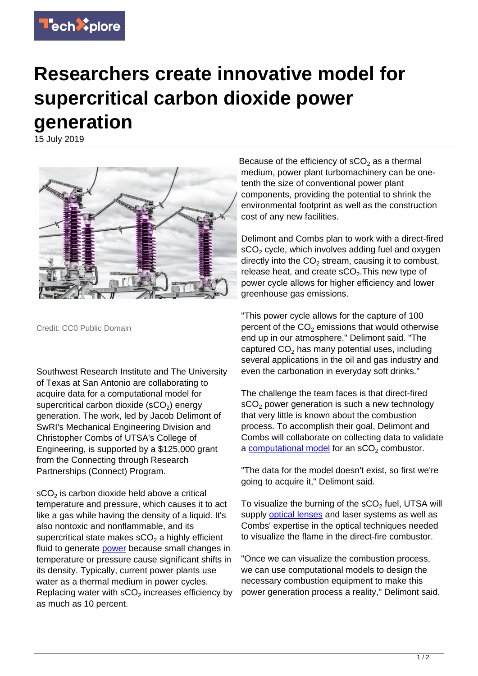

## **Researchers create innovative model for supercritical carbon dioxide power generation**

15 July 2019



Credit: CC0 Public Domain

Southwest Research Institute and The University of Texas at San Antonio are collaborating to acquire data for a computational model for supercritical carbon dioxide (sCO $_2$ ) energy generation. The work, led by Jacob Delimont of SwRI's Mechanical Engineering Division and Christopher Combs of UTSA's College of Engineering, is supported by a \$125,000 grant from the Connecting through Research Partnerships (Connect) Program.

 $\mathsf{sCO}_2$  is carbon dioxide held above a critical temperature and pressure, which causes it to act like a gas while having the density of a liquid. It's also nontoxic and nonflammable, and its supercritical state makes sCO $_2$  a highly efficient fluid to generate **power** because small changes in temperature or pressure cause significant shifts in its density. Typically, current power plants use water as a thermal medium in power cycles. Replacing water with  $\mathsf{sCO}_2$  increases efficiency by as much as 10 percent.

Because of the efficiency of sCO<sub>2</sub> as a thermal medium, power plant turbomachinery can be onetenth the size of conventional power plant components, providing the potential to shrink the environmental footprint as well as the construction cost of any new facilities.

Delimont and Combs plan to work with a direct-fired  $\mathsf{sCO}_2$  cycle, which involves adding fuel and oxygen directly into the  $CO<sub>2</sub>$  stream, causing it to combust, release heat, and create  $\mathsf{sCO}_2$ . This new type of power cycle allows for higher efficiency and lower greenhouse gas emissions.

"This power cycle allows for the capture of 100 percent of the  $CO<sub>2</sub>$  emissions that would otherwise end up in our atmosphere," Delimont said. "The captured  $CO<sub>2</sub>$  has many potential uses, including several applications in the oil and gas industry and even the carbonation in everyday soft drinks."

The challenge the team faces is that direct-fired  $\mathsf{sCO}_2$  power generation is such a new technology that very little is known about the combustion process. To accomplish their goal, Delimont and Combs will collaborate on collecting data to validate a [computational model](https://techxplore.com/tags/computational+model/) for an sCO<sub>2</sub> combustor.

"The data for the model doesn't exist, so first we're going to acquire it," Delimont said.

To visualize the burning of the  $\mathsf{sCO}_2$  fuel, UTSA will supply **optical lenses** and laser systems as well as Combs' expertise in the optical techniques needed to visualize the flame in the direct-fire combustor.

"Once we can visualize the combustion process, we can use computational models to design the necessary combustion equipment to make this power generation process a reality," Delimont said.